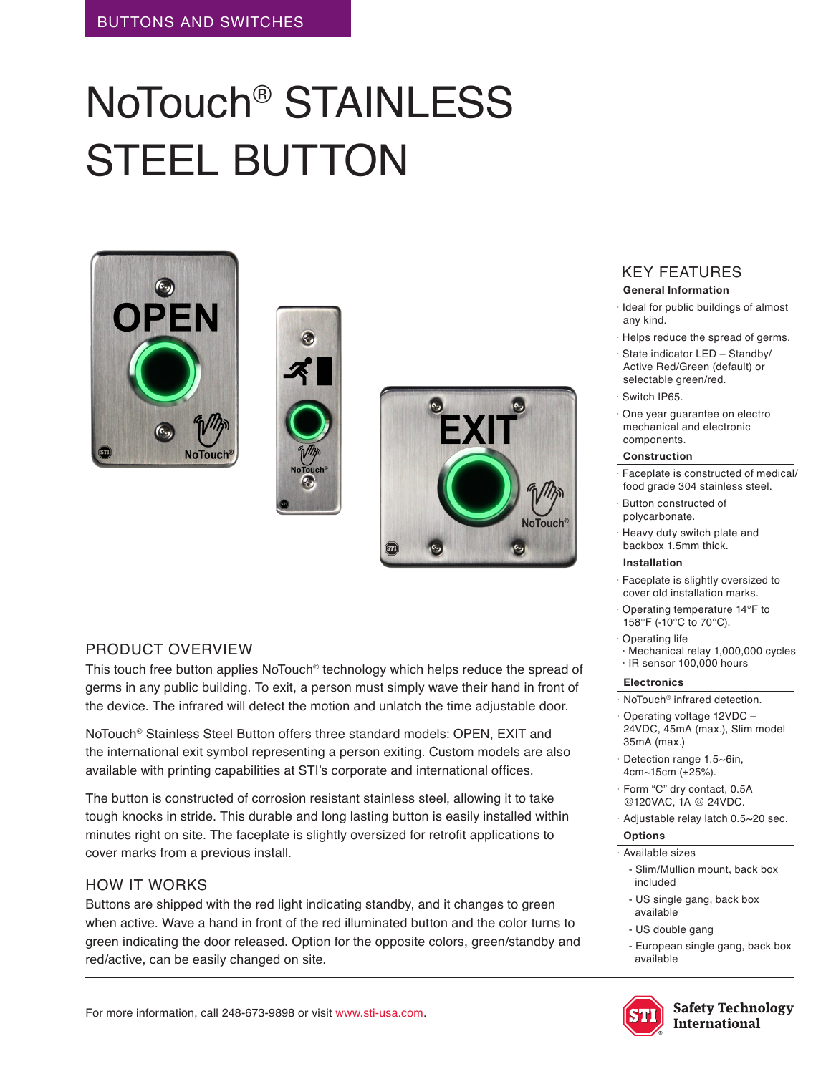# NoTouch® STAINLESS STEEL BUTTON







# PRODUCT OVERVIEW

This touch free button applies NoTouch® technology which helps reduce the spread of germs in any public building. To exit, a person must simply wave their hand in front of the device. The infrared will detect the motion and unlatch the time adjustable door.

NoTouch® Stainless Steel Button offers three standard models: OPEN, EXIT and the international exit symbol representing a person exiting. Custom models are also available with printing capabilities at STI's corporate and international offices.

The button is constructed of corrosion resistant stainless steel, allowing it to take tough knocks in stride. This durable and long lasting button is easily installed within minutes right on site. The faceplate is slightly oversized for retrofit applications to cover marks from a previous install.

# HOW IT WORKS

Buttons are shipped with the red light indicating standby, and it changes to green when active. Wave a hand in front of the red illuminated button and the color turns to green indicating the door released. Option for the opposite colors, green/standby and red/active, can be easily changed on site.

#### KEY FEATURES **General Information**

- · Ideal for public buildings of almost any kind.
- · Helps reduce the spread of germs.
- · State indicator LED Standby/ Active Red/Green (default) or selectable green/red.
- · Switch IP65.
- · One year guarantee on electro mechanical and electronic components.

#### **Construction**

- Faceplate is constructed of medical/ food grade 304 stainless steel.
- · Button constructed of polycarbonate.
- · Heavy duty switch plate and backbox 1.5mm thick.

#### **Installation**

- · Faceplate is slightly oversized to cover old installation marks.
- · Operating temperature 14°F to 158°F (-10°C to 70°C).
- · Operating life · Mechanical relay 1,000,000 cycles · IR sensor 100,000 hours

#### **Electronics**

- · NoTouch® infrared detection.
- · Operating voltage 12VDC 24VDC, 45mA (max.), Slim model 35mA (max.)
- Detection range 1.5~6in, 4cm~15cm (±25%).
- Form "C" dry contact, 0.5A @120VAC, 1A @ 24VDC.
- · Adjustable relay latch 0.5~20 sec.

## **Options**

- · Available sizes
	- Slim/Mullion mount, back box included
	- US single gang, back box available
	- US double gang
	- European single gang, back box available



**Safety Technology International**